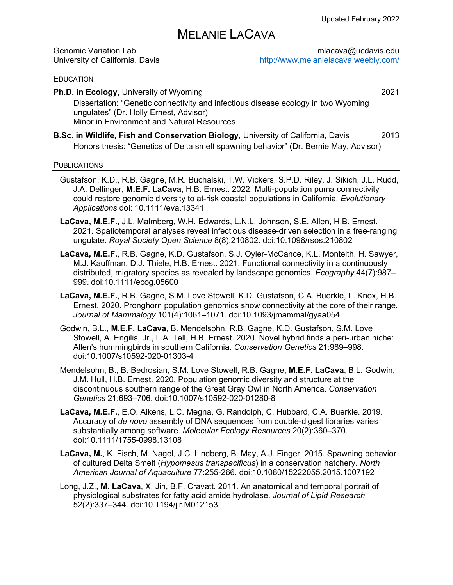# MELANIE LACAVA

| <b>Genomic Variation Lab</b>    |  |
|---------------------------------|--|
| University of California, Davis |  |

 $mlacava@ucdavis.edu$ http://www.melanielacava.weebly.com/

#### **EDUCATION**

**Ph.D. in Ecology**, University of Wyoming 2021 Dissertation: "Genetic connectivity and infectious disease ecology in two Wyoming ungulates" (Dr. Holly Ernest, Advisor) Minor in Environment and Natural Resources

**B.Sc. in Wildlife, Fish and Conservation Biology**, University of California, Davis 2013 Honors thesis: "Genetics of Delta smelt spawning behavior" (Dr. Bernie May, Advisor)

#### **PUBLICATIONS**

- Gustafson, K.D., R.B. Gagne, M.R. Buchalski, T.W. Vickers, S.P.D. Riley, J. Sikich, J.L. Rudd, J.A. Dellinger, **M.E.F. LaCava**, H.B. Ernest. 2022. Multi-population puma connectivity could restore genomic diversity to at-risk coastal populations in California. *Evolutionary Applications* doi: 10.1111/eva.13341
- **LaCava, M.E.F.**, J.L. Malmberg, W.H. Edwards, L.N.L. Johnson, S.E. Allen, H.B. Ernest. 2021. Spatiotemporal analyses reveal infectious disease-driven selection in a free-ranging ungulate. *Royal Society Open Science* 8(8):210802. doi:10.1098/rsos.210802
- **LaCava, M.E.F.**, R.B. Gagne, K.D. Gustafson, S.J. Oyler-McCance, K.L. Monteith, H. Sawyer, M.J. Kauffman, D.J. Thiele, H.B. Ernest. 2021. Functional connectivity in a continuously distributed, migratory species as revealed by landscape genomics. *Ecography* 44(7):987– 999. doi:10.1111/ecog.05600
- **LaCava, M.E.F.**, R.B. Gagne, S.M. Love Stowell, K.D. Gustafson, C.A. Buerkle, L. Knox, H.B. Ernest. 2020. Pronghorn population genomics show connectivity at the core of their range. *Journal of Mammalogy* 101(4):1061–1071. doi:10.1093/jmammal/gyaa054
- Godwin, B.L., **M.E.F. LaCava**, B. Mendelsohn, R.B. Gagne, K.D. Gustafson, S.M. Love Stowell, A. Engilis, Jr., L.A. Tell, H.B. Ernest. 2020. Novel hybrid finds a peri-urban niche: Allen's hummingbirds in southern California. *Conservation Genetics* 21:989–998. doi:10.1007/s10592-020-01303-4
- Mendelsohn, B., B. Bedrosian, S.M. Love Stowell, R.B. Gagne, **M.E.F. LaCava**, B.L. Godwin, J.M. Hull, H.B. Ernest. 2020. Population genomic diversity and structure at the discontinuous southern range of the Great Gray Owl in North America. *Conservation Genetics* 21:693–706. doi:10.1007/s10592-020-01280-8
- **LaCava, M.E.F.**, E.O. Aikens, L.C. Megna, G. Randolph, C. Hubbard, C.A. Buerkle. 2019. Accuracy of *de novo* assembly of DNA sequences from double-digest libraries varies substantially among software. *Molecular Ecology Resources* 20(2):360–370. doi:10.1111/1755-0998.13108
- **LaCava, M.**, K. Fisch, M. Nagel, J.C. Lindberg, B. May, A.J. Finger. 2015. Spawning behavior of cultured Delta Smelt (*Hypomesus transpacificus*) in a conservation hatchery. *North American Journal of Aquaculture* 77:255-266. doi:10.1080/15222055.2015.1007192
- Long, J.Z., **M. LaCava**, X. Jin, B.F. Cravatt. 2011. An anatomical and temporal portrait of physiological substrates for fatty acid amide hydrolase. *Journal of Lipid Research* 52(2):337–344. doi:10.1194/jlr.M012153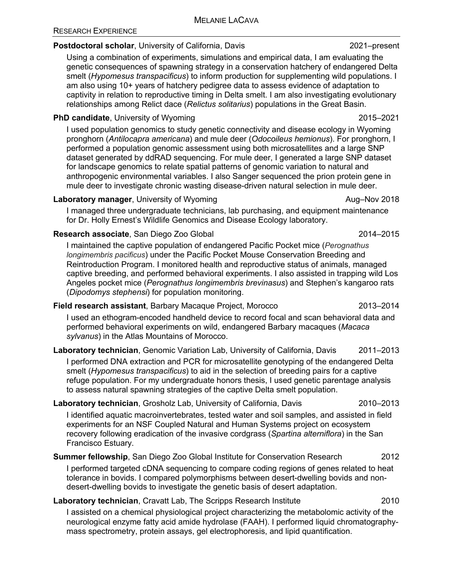# **Postdoctoral scholar**, University of California, Davis 2021–present

Using a combination of experiments, simulations and empirical data, I am evaluating the genetic consequences of spawning strategy in a conservation hatchery of endangered Delta smelt (*Hypomesus transpacificus*) to inform production for supplementing wild populations. I am also using 10+ years of hatchery pedigree data to assess evidence of adaptation to captivity in relation to reproductive timing in Delta smelt. I am also investigating evolutionary relationships among Relict dace (*Relictus solitarius*) populations in the Great Basin.

# **PhD candidate**, University of Wyoming 2015–2021

I used population genomics to study genetic connectivity and disease ecology in Wyoming pronghorn (*Antilocapra americana*) and mule deer (*Odocoileus hemionus*). For pronghorn, I performed a population genomic assessment using both microsatellites and a large SNP dataset generated by ddRAD sequencing. For mule deer, I generated a large SNP dataset for landscape genomics to relate spatial patterns of genomic variation to natural and anthropogenic environmental variables. I also Sanger sequenced the prion protein gene in mule deer to investigate chronic wasting disease-driven natural selection in mule deer.

# **Laboratory manager**, University of Wyoming **August 2018** Aug–Nov 2018

I managed three undergraduate technicians, lab purchasing, and equipment maintenance for Dr. Holly Ernest's Wildlife Genomics and Disease Ecology laboratory.

# **Research associate**, San Diego Zoo Global 2014–2015

I maintained the captive population of endangered Pacific Pocket mice (*Perognathus longimembris pacificus*) under the Pacific Pocket Mouse Conservation Breeding and Reintroduction Program. I monitored health and reproductive status of animals, managed captive breeding, and performed behavioral experiments. I also assisted in trapping wild Los Angeles pocket mice (*Perognathus longimembris brevinasus*) and Stephen's kangaroo rats (*Dipodomys stephensi*) for population monitoring.

**Field research assistant**, Barbary Macaque Project, Morocco 2013–2014

I used an ethogram-encoded handheld device to record focal and scan behavioral data and performed behavioral experiments on wild, endangered Barbary macaques (*Macaca sylvanus*) in the Atlas Mountains of Morocco.

**Laboratory technician**, Genomic Variation Lab, University of California, Davis 2011–2013

I performed DNA extraction and PCR for microsatellite genotyping of the endangered Delta smelt (*Hypomesus transpacificus*) to aid in the selection of breeding pairs for a captive refuge population. For my undergraduate honors thesis, I used genetic parentage analysis to assess natural spawning strategies of the captive Delta smelt population.

# **Laboratory technician**, Grosholz Lab, University of California, Davis 2010-2013

I identified aquatic macroinvertebrates, tested water and soil samples, and assisted in field experiments for an NSF Coupled Natural and Human Systems project on ecosystem recovery following eradication of the invasive cordgrass (*Spartina alterniflora*) in the San Francisco Estuary.

# **Summer fellowship**, San Diego Zoo Global Institute for Conservation Research 2012

I performed targeted cDNA sequencing to compare coding regions of genes related to heat tolerance in bovids. I compared polymorphisms between desert-dwelling bovids and nondesert-dwelling bovids to investigate the genetic basis of desert adaptation.

# **Laboratory technician**, Cravatt Lab, The Scripps Research Institute 2010

I assisted on a chemical physiological project characterizing the metabolomic activity of the neurological enzyme fatty acid amide hydrolase (FAAH). I performed liquid chromatographymass spectrometry, protein assays, gel electrophoresis, and lipid quantification.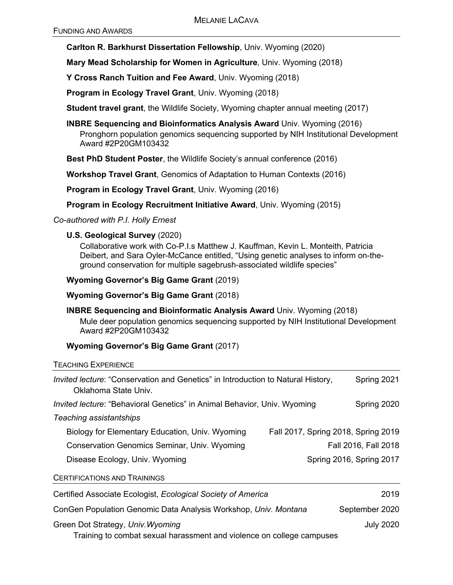**Carlton R. Barkhurst Dissertation Fellowship**, Univ. Wyoming (2020)

**Mary Mead Scholarship for Women in Agriculture**, Univ. Wyoming (2018)

**Y Cross Ranch Tuition and Fee Award**, Univ. Wyoming (2018)

**Program in Ecology Travel Grant**, Univ. Wyoming (2018)

**Student travel grant**, the Wildlife Society, Wyoming chapter annual meeting (2017)

**INBRE Sequencing and Bioinformatics Analysis Award** Univ. Wyoming (2016) Pronghorn population genomics sequencing supported by NIH Institutional Development Award #2P20GM103432

**Best PhD Student Poster**, the Wildlife Society's annual conference (2016)

**Workshop Travel Grant**, Genomics of Adaptation to Human Contexts (2016)

**Program in Ecology Travel Grant**, Univ. Wyoming (2016)

**Program in Ecology Recruitment Initiative Award**, Univ. Wyoming (2015)

*Co-authored with P.I. Holly Ernest*

### **U.S. Geological Survey** (2020)

Collaborative work with Co-P.I.s Matthew J. Kauffman, Kevin L. Monteith, Patricia Deibert, and Sara Oyler-McCance entitled, "Using genetic analyses to inform on-theground conservation for multiple sagebrush-associated wildlife species"

#### **Wyoming Governor's Big Game Grant** (2019)

**Wyoming Governor's Big Game Grant** (2018)

**INBRE Sequencing and Bioinformatic Analysis Award** Univ. Wyoming (2018) Mule deer population genomics sequencing supported by NIH Institutional Development Award #2P20GM103432

### **Wyoming Governor's Big Game Grant** (2017)

#### TEACHING EXPERIENCE

| Invited lecture: "Conservation and Genetics" in Introduction to Natural History,<br>Oklahoma State Univ. |                                     | Spring 2021          |
|----------------------------------------------------------------------------------------------------------|-------------------------------------|----------------------|
| Invited lecture: "Behavioral Genetics" in Animal Behavior, Univ. Wyoming                                 |                                     | Spring 2020          |
| Teaching assistantships                                                                                  |                                     |                      |
| Biology for Elementary Education, Univ. Wyoming                                                          | Fall 2017, Spring 2018, Spring 2019 |                      |
| <b>Conservation Genomics Seminar, Univ. Wyoming</b>                                                      |                                     | Fall 2016, Fall 2018 |
| Disease Ecology, Univ. Wyoming                                                                           | Spring 2016, Spring 2017            |                      |
| <b>CERTIFICATIONS AND TRAININGS</b>                                                                      |                                     |                      |

Certified Associate Ecologist, *Ecological Society of America* 2019

ConGen Population Genomic Data Analysis Workshop, *Univ. Montana* September 2020 Green Dot Strategy, *Univ.Wyoming* July 2020 Training to combat sexual harassment and violence on college campuses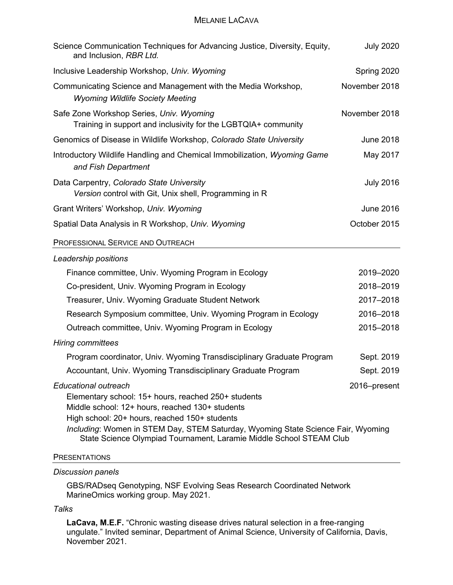#### MELANIE LACAVA

| Science Communication Techniques for Advancing Justice, Diversity, Equity,<br>and Inclusion, RBR Ltd.                                                                                                                                                                                                                                             | <b>July 2020</b> |
|---------------------------------------------------------------------------------------------------------------------------------------------------------------------------------------------------------------------------------------------------------------------------------------------------------------------------------------------------|------------------|
| Inclusive Leadership Workshop, Univ. Wyoming                                                                                                                                                                                                                                                                                                      | Spring 2020      |
| Communicating Science and Management with the Media Workshop,<br><b>Wyoming Wildlife Society Meeting</b>                                                                                                                                                                                                                                          | November 2018    |
| Safe Zone Workshop Series, Univ. Wyoming<br>Training in support and inclusivity for the LGBTQIA+ community                                                                                                                                                                                                                                        | November 2018    |
| Genomics of Disease in Wildlife Workshop, Colorado State University                                                                                                                                                                                                                                                                               | <b>June 2018</b> |
| Introductory Wildlife Handling and Chemical Immobilization, Wyoming Game<br>and Fish Department                                                                                                                                                                                                                                                   | May 2017         |
| Data Carpentry, Colorado State University<br>Version control with Git, Unix shell, Programming in R                                                                                                                                                                                                                                               | <b>July 2016</b> |
| Grant Writers' Workshop, Univ. Wyoming                                                                                                                                                                                                                                                                                                            | <b>June 2016</b> |
| Spatial Data Analysis in R Workshop, Univ. Wyoming                                                                                                                                                                                                                                                                                                | October 2015     |
| PROFESSIONAL SERVICE AND OUTREACH                                                                                                                                                                                                                                                                                                                 |                  |
| Leadership positions                                                                                                                                                                                                                                                                                                                              |                  |
| Finance committee, Univ. Wyoming Program in Ecology                                                                                                                                                                                                                                                                                               | 2019-2020        |
| Co-president, Univ. Wyoming Program in Ecology                                                                                                                                                                                                                                                                                                    | 2018-2019        |
| Treasurer, Univ. Wyoming Graduate Student Network                                                                                                                                                                                                                                                                                                 | 2017-2018        |
| Research Symposium committee, Univ. Wyoming Program in Ecology                                                                                                                                                                                                                                                                                    | 2016-2018        |
| Outreach committee, Univ. Wyoming Program in Ecology                                                                                                                                                                                                                                                                                              | 2015-2018        |
| <b>Hiring committees</b>                                                                                                                                                                                                                                                                                                                          |                  |
| Program coordinator, Univ. Wyoming Transdisciplinary Graduate Program                                                                                                                                                                                                                                                                             | Sept. 2019       |
| Accountant, Univ. Wyoming Transdisciplinary Graduate Program                                                                                                                                                                                                                                                                                      | Sept. 2019       |
| <b>Educational outreach</b><br>Elementary school: 15+ hours, reached 250+ students<br>Middle school: 12+ hours, reached 130+ students<br>High school: 20+ hours, reached 150+ students<br>Including: Women in STEM Day, STEM Saturday, Wyoming State Science Fair, Wyoming<br>State Science Olympiad Tournament, Laramie Middle School STEAM Club | 2016-present     |
|                                                                                                                                                                                                                                                                                                                                                   |                  |

#### **PRESENTATIONS**

#### *Discussion panels*

GBS/RADseq Genotyping, NSF Evolving Seas Research Coordinated Network MarineOmics working group. May 2021.

#### *Talks*

**LaCava, M.E.F.** "Chronic wasting disease drives natural selection in a free-ranging ungulate." Invited seminar, Department of Animal Science, University of California, Davis, November 2021.